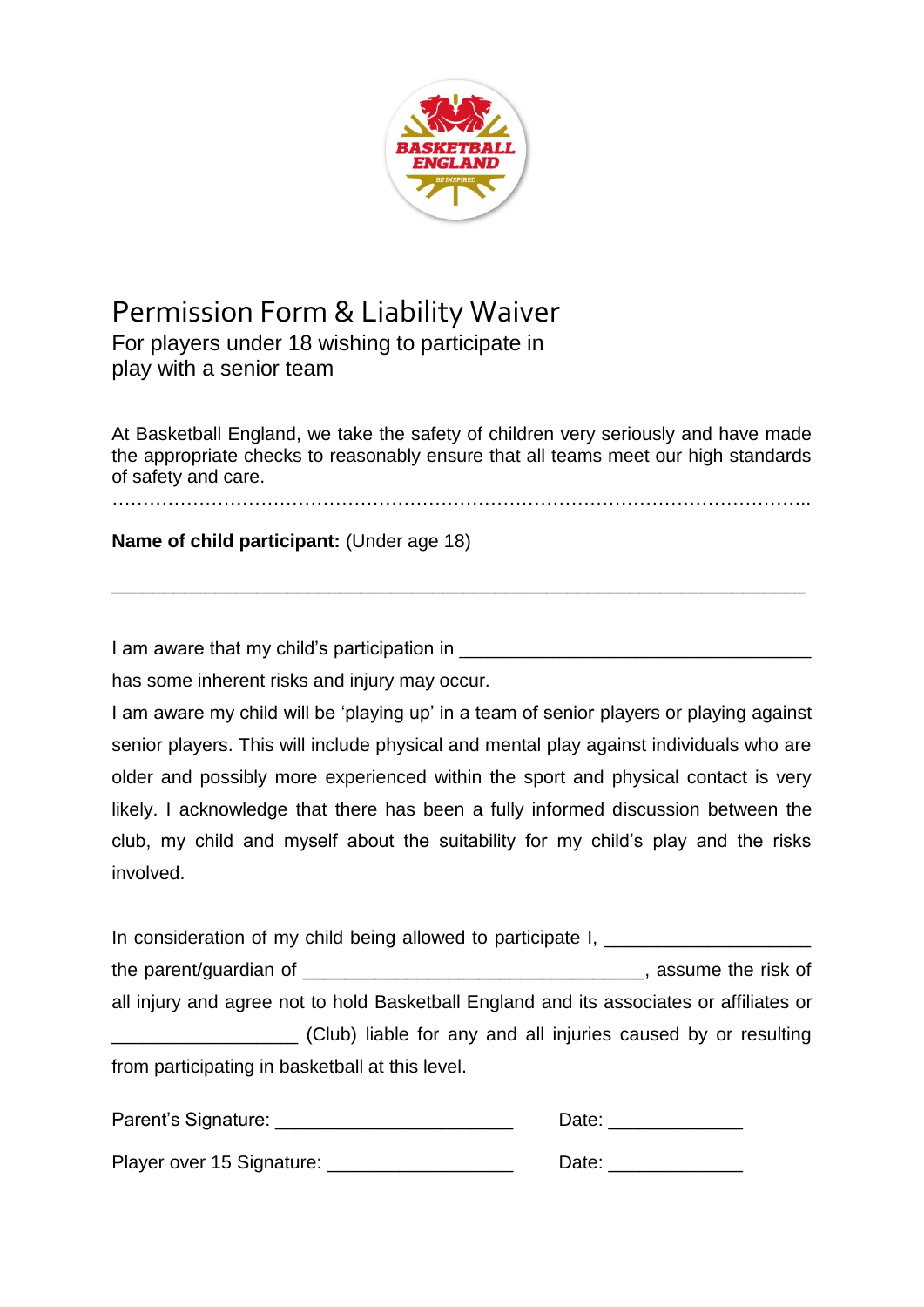

## Permission Form & Liability Waiver

For players under 18 wishing to participate in play with a senior team

At Basketball England, we take the safety of children very seriously and have made the appropriate checks to reasonably ensure that all teams meet our high standards of safety and care.

…………………………………………………………………………………………………..

\_\_\_\_\_\_\_\_\_\_\_\_\_\_\_\_\_\_\_\_\_\_\_\_\_\_\_\_\_\_\_\_\_\_\_\_\_\_\_\_\_\_\_\_\_\_\_\_\_\_\_\_\_\_\_\_\_\_\_\_\_\_\_\_\_\_\_

**Name of child participant:** (Under age 18)

I am aware that my child's participation in **Example 20** and the set of the set of the set of the set of the set o

has some inherent risks and injury may occur.

I am aware my child will be 'playing up' in a team of senior players or playing against senior players. This will include physical and mental play against individuals who are older and possibly more experienced within the sport and physical contact is very likely. I acknowledge that there has been a fully informed discussion between the club, my child and myself about the suitability for my child's play and the risks involved.

In consideration of my child being allowed to participate I, \_\_\_\_\_\_\_\_\_\_\_\_\_\_\_\_\_\_\_ the parent/guardian of \_\_\_\_\_\_\_\_\_\_\_\_\_\_\_\_\_\_\_\_\_\_\_\_\_\_\_\_\_\_\_\_\_, assume the risk of all injury and agree not to hold Basketball England and its associates or affiliates or \_\_\_\_\_\_\_\_\_\_\_\_\_\_\_\_\_\_ (Club) liable for any and all injuries caused by or resulting from participating in basketball at this level.

| Parent's Signature:       | Date: |
|---------------------------|-------|
| Player over 15 Signature: | Date: |